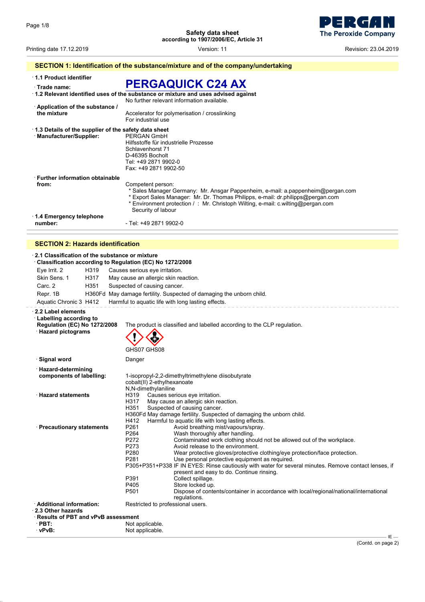**The Peroxide Company** 

Printing date 17.12.2019 Version: 11 Revision: 23.04.2019

### **SECTION 1: Identification of the substance/mixture and of the company/undertaking**

· **1.1 Product identifier**

### · **Trade name: PERGAQUICK C24 AX**

| $\cdot$ 1.2 Relevant identified uses of the substance or mixture and uses advised against<br>No further relevant information available.<br>Application of the substance /<br>the mixture<br>Accelerator for polymerisation / crosslinking<br>For industrial use<br>1.3 Details of the supplier of the safety data sheet<br>· Manufacturer/Supplier:<br>PERGAN GmbH<br>Hilfsstoffe für industrielle Prozesse<br>Schlavenhorst 71<br>D-46395 Bocholt<br>Tel: +49 2871 9902-0<br>Fax: +49 2871 9902-50<br>⋅ Further information obtainable<br>Competent person:<br>from:<br>* Sales Manager Germany: Mr. Ansgar Pappenheim, e-mail: a.pappenheim@pergan.com<br>* Export Sales Manager: Mr. Dr. Thomas Philipps, e-mail: dr.philipps@pergan.com<br>* Environment protection / : Mr. Christoph Wilting, e-mail: c.wilting@pergan.com<br>Security of labour<br>$\cdot$ 1.4 Emergency telephone<br>- Tel: +49 2871 9902-0<br>number: | 11 au <del>c</del> 11 anns. |  |
|-------------------------------------------------------------------------------------------------------------------------------------------------------------------------------------------------------------------------------------------------------------------------------------------------------------------------------------------------------------------------------------------------------------------------------------------------------------------------------------------------------------------------------------------------------------------------------------------------------------------------------------------------------------------------------------------------------------------------------------------------------------------------------------------------------------------------------------------------------------------------------------------------------------------------------|-----------------------------|--|
|                                                                                                                                                                                                                                                                                                                                                                                                                                                                                                                                                                                                                                                                                                                                                                                                                                                                                                                               |                             |  |
|                                                                                                                                                                                                                                                                                                                                                                                                                                                                                                                                                                                                                                                                                                                                                                                                                                                                                                                               |                             |  |
|                                                                                                                                                                                                                                                                                                                                                                                                                                                                                                                                                                                                                                                                                                                                                                                                                                                                                                                               |                             |  |
|                                                                                                                                                                                                                                                                                                                                                                                                                                                                                                                                                                                                                                                                                                                                                                                                                                                                                                                               |                             |  |
|                                                                                                                                                                                                                                                                                                                                                                                                                                                                                                                                                                                                                                                                                                                                                                                                                                                                                                                               |                             |  |

#### **SECTION 2: Hazards identification**

#### · **2.1 Classification of the substance or mixture** · **Classification according to Regulation (EC) No 1272/2008** Eye Irrit. 2 H319 Causes serious eye irritation. Skin Sens. 1 H317 May cause an allergic skin reaction. Carc. 2 H351 Suspected of causing cancer. Repr. 1B H360Fd May damage fertility. Suspected of damaging the unborn child. Aquatic Chronic 3 H412 Harmful to aquatic life with long lasting effects. · **2.2 Label elements** · **Labelling according to** The product is classified and labelled according to the CLP regulation. · **Hazard pictograms** GHS07 GHS08  $\Leftrightarrow$ **Signal word** Danger · **Hazard-determining components of labelling:** 1-isopropyl-2,2-dimethyltrimethylene diisobutyrate cobalt(II) 2-ethylhexanoate N,N-dimethylaniline · **Hazard statements** H319 Causes serious eye irritation. May cause an allergic skin reaction. H351 Suspected of causing cancer. H360Fd May damage fertility. Suspected of damaging the unborn child. H412 Harmful to aquatic life with long lasting effects.<br>P261 Avoid breathing mist/vapours/spray. **Precautionary statements** P261 Avoid breathing mist<sup>/</sup>vapours/spray.<br>P264 Wash thoroughly after handling. Wash thoroughly after handling. P272 Contaminated work clothing should not be allowed out of the workplace.<br>P273 Avoid release to the environment. Avoid release to the environment. P280 Wear protective gloves/protective clothing/eye protection/face protection.<br>P281 Use personal protective equipment as required. Use personal protective equipment as required. P305+P351+P338 IF IN EYES: Rinse cautiously with water for several minutes. Remove contact lenses, if present and easy to do. Continue rinsing. P391 Collect spillage.<br>P405 Store locked up P405 Store locked up.<br>P501 Dispose of conte Dispose of contents/container in accordance with local/regional/national/international regulations. · **Additional information:** Restricted to professional users. · **2.3 Other hazards** · **Results of PBT and vPvB assessment PBT:** Not applicable.<br>
Not applicable.<br>
Not applicable. Not applicable.

IE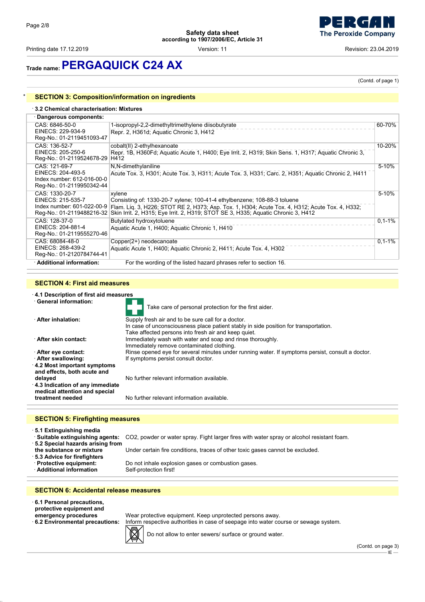Printing date 17.12.2019 **Printing date 17.12.2019 Consumersion: 11** Version: 11 **Revision: 23.04.2019 Revision: 23.04.2019** 



## **Trade name:PERGAQUICK C24 AX**

(Contd. of page 1)

### **SECTION 3: Composition/information on ingredients**

#### · **3.2 Chemical characterisation: Mixtures**

| Dangerous components:                                                                          |                                                                                                                                                                                                                                                                            |           |
|------------------------------------------------------------------------------------------------|----------------------------------------------------------------------------------------------------------------------------------------------------------------------------------------------------------------------------------------------------------------------------|-----------|
| CAS: 6846-50-0<br>EINECS: 229-934-9<br>Reg-No.: 01-2119451093-47                               | 1-isopropyl-2,2-dimethyltrimethylene diisobutyrate<br>Repr. 2, H361d; Aquatic Chronic 3, H412                                                                                                                                                                              | 60-70%    |
| CAS: 136-52-7<br>EINECS: 205-250-6<br>Reg-No.: 01-2119524678-29                                | cobalt(II) 2-ethylhexanoate<br>Repr. 1B, H360Fd; Aquatic Acute 1, H400; Eye Irrit. 2, H319; Skin Sens. 1, H317; Aquatic Chronic 3,<br>H412                                                                                                                                 | 10-20%    |
| CAS: 121-69-7<br>EINECS: 204-493-5<br>Index number: 612-016-00-0<br>Reg-No.: 01-2119950342-44  | N,N-dimethylaniline<br>Acute Tox. 3, H301; Acute Tox. 3, H311; Acute Tox. 3, H331; Carc. 2, H351; Aquatic Chronic 2, H411                                                                                                                                                  | 5-10%     |
| CAS: 1330-20-7<br>EINECS: 215-535-7<br>Index number: 601-022-00-9<br>Reg-No.: 01-2119488216-32 | xylene<br>Consisting of: 1330-20-7 xylene; 100-41-4 ethylbenzene; 108-88-3 toluene<br>Flam. Lig. 3, H226; STOT RE 2, H373; Asp. Tox. 1, H304; Acute Tox. 4, H312; Acute Tox. 4, H332;<br>Skin Irrit. 2, H315; Eye Irrit. 2, H319; STOT SE 3, H335; Aguatic Chronic 3, H412 | $5 - 10%$ |
| CAS: 128-37-0<br>EINECS: 204-881-4<br>Reg-No.: 01-2119555270-46                                | Butylated hydroxytoluene<br>Aquatic Acute 1, H400; Aquatic Chronic 1, H410                                                                                                                                                                                                 | $0,1-1%$  |
| CAS: 68084-48-0<br>EINECS: 268-439-2<br>Reg-No.: 01-2120784744-41                              | Copper(2+) neodecanoate<br>Aquatic Acute 1, H400; Aquatic Chronic 2, H411; Acute Tox. 4, H302                                                                                                                                                                              | $0,1-1%$  |
| · Additional information:                                                                      | For the wording of the listed hazard phrases refer to section 16.                                                                                                                                                                                                          |           |

#### **SECTION 4: First aid measures**

#### · **4.1 Description of first aid measures**

| · General information:                  |                                                                                                  |
|-----------------------------------------|--------------------------------------------------------------------------------------------------|
|                                         | Take care of personal protection for the first aider.                                            |
| <b>After inhalation:</b>                | Supply fresh air and to be sure call for a doctor.                                               |
|                                         | In case of unconsciousness place patient stably in side position for transportation.             |
|                                         | Take affected persons into fresh air and keep quiet.                                             |
| · After skin contact:                   | Immediately wash with water and soap and rinse thoroughly.                                       |
|                                         | Immediately remove contaminated clothing.                                                        |
| After eye contact:                      | Rinse opened eye for several minutes under running water. If symptoms persist, consult a doctor. |
| After swallowing:                       | If symptoms persist consult doctor.                                                              |
| 4.2 Most important symptoms             |                                                                                                  |
| and effects, both acute and             |                                                                                                  |
| delayed                                 | No further relevant information available.                                                       |
| 4.3 Indication of any immediate         |                                                                                                  |
| medical attention and special           |                                                                                                  |
| treatment needed                        | No further relevant information available                                                        |
|                                         |                                                                                                  |
|                                         |                                                                                                  |
| <b>SECTION 5: Firefighting measures</b> |                                                                                                  |

· **5.1 Extinguishing media**

· **Suitable extinguishing agents:** CO2, powder or water spray. Fight larger fires with water spray or alcohol resistant foam. · **5.2 Special hazards arising from** the substance or mixture Under certain fire conditions, traces of other toxic gases cannot be excluded.

- · **5.3 Advice for firefighters**
- 
- · **Additional information**

**· Protective equipment:** Do not inhale explosion gases or combustion gases.<br>· Additional information Self-protection first!

#### **SECTION 6: Accidental release measures**

- · **6.1 Personal precautions, protective equipment and**
- 
- 



**emergency procedures** Wear protective equipment. Keep unprotected persons away.<br>**6.2 Environmental precautions:** Inform respective authorities in case of seepage into water co Inform respective authorities in case of seepage into water course or sewage system.

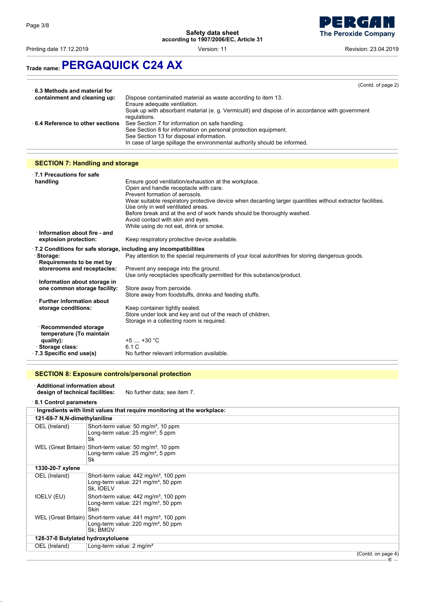

Printing date 17.12.2019 **Printing date 17.12.2019 Consumersion: 11** Version: 11 **Printing date 17.12.2019 Revision: 23.04.2019** 

## **Trade name:PERGAQUICK C24 AX**

|                                 | (Contd. of page 2)                                                                              |
|---------------------------------|-------------------------------------------------------------------------------------------------|
| ⋅ 6.3 Methods and material for  |                                                                                                 |
| containment and cleaning up:    | Dispose contaminated material as waste according to item 13.                                    |
|                                 | Ensure adequate ventilation.                                                                    |
|                                 |                                                                                                 |
|                                 | Soak up with absorbant material (e. g. Vermiculit) and dispose of in accordance with government |
|                                 | regulations.                                                                                    |
| 6.4 Reference to other sections | See Section 7 for information on safe handling.                                                 |
|                                 | See Section 8 for information on personal protection equipment.                                 |
|                                 | See Section 13 for disposal information.                                                        |
|                                 | In case of large spillage the environmental authority should be informed.                       |

### **SECTION 7: Handling and storage**

| $\cdot$ 7.1 Precautions for safe                                         |                                                                                                            |
|--------------------------------------------------------------------------|------------------------------------------------------------------------------------------------------------|
| handling                                                                 | Ensure good ventilation/exhaustion at the workplace.                                                       |
|                                                                          | Open and handle receptacle with care.                                                                      |
|                                                                          | Prevent formation of aerosols.                                                                             |
|                                                                          | Wear suitable respiratory protective device when decanting larger quantities without extractor facilities. |
|                                                                          | Use only in well ventilated areas.                                                                         |
|                                                                          | Before break and at the end of work hands should be thoroughly washed.                                     |
|                                                                          | Avoid contact with skin and eyes.<br>While using do not eat, drink or smoke.                               |
| Information about fire - and                                             |                                                                                                            |
| explosion protection:                                                    | Keep respiratory protective device available.                                                              |
|                                                                          |                                                                                                            |
| $\cdot$ 7.2 Conditions for safe storage, including any incompatibilities |                                                                                                            |
| · Storage:                                                               | Pay attention to the special requirements of your local autorithies for storing dangerous goods.           |
| Requirements to be met by                                                |                                                                                                            |
| storerooms and receptacles:                                              | Prevent any seepage into the ground.                                                                       |
|                                                                          | Use only receptacles specifically permitted for this substance/product.                                    |
| · Information about storage in                                           |                                                                                                            |
| one common storage facility:                                             | Store away from peroxide.                                                                                  |
|                                                                          | Store away from foodstuffs, drinks and feeding stuffs.                                                     |
| $\cdot$ Further information about                                        |                                                                                                            |
| storage conditions:                                                      | Keep container tightly sealed.                                                                             |
|                                                                          | Store under lock and key and out of the reach of children.<br>Storage in a collecting room is required.    |
| · Recommended storage                                                    |                                                                                                            |
| temperature (To maintain                                                 |                                                                                                            |
| quality):                                                                | $+5$ $+30$ °C                                                                                              |
| Storage class:                                                           | 6.1 C                                                                                                      |
| 7.3 Specific end use(s)                                                  | No further relevant information available.                                                                 |
|                                                                          |                                                                                                            |

### **SECTION 8: Exposure controls/personal protection**

| ⋅ Additional information about<br>design of technical facilities: | No further data; see item 7.                                                                                                        |
|-------------------------------------------------------------------|-------------------------------------------------------------------------------------------------------------------------------------|
| 8.1 Control parameters                                            |                                                                                                                                     |
|                                                                   | · Ingredients with limit values that require monitoring at the workplace:                                                           |
| 121-69-7 N, N-dimethylaniline                                     |                                                                                                                                     |
| OEL (Ireland)                                                     | Short-term value: 50 mg/m <sup>3</sup> , 10 ppm<br>Long-term value: $25 \text{ mg/m}^3$ , 5 ppm<br>Sk                               |
| WEL (Great Britain)                                               | Short-term value: 50 mg/m <sup>3</sup> , 10 ppm<br>Long-term value: $25 \text{ mg/m}^3$ , 5 ppm<br>Sk                               |
| 1330-20-7 xylene                                                  |                                                                                                                                     |
| OEL (Ireland)                                                     | Short-term value: 442 mg/m <sup>3</sup> , 100 ppm<br>Long-term value: $221 \text{ mg/m}^3$ , 50 ppm<br>Sk, IOELV                    |
| IOELV (EU)                                                        | Short-term value: 442 mg/m <sup>3</sup> , 100 ppm<br>Long-term value: $221 \text{ mg/m}^3$ , 50 ppm<br><b>Skin</b>                  |
|                                                                   | WEL (Great Britain) Short-term value: 441 mg/m <sup>3</sup> , 100 ppm<br>Long-term value: $220 \text{ mg/m}^3$ , 50 ppm<br>Sk: BMGV |
| 128-37-0 Butylated hydroxytoluene                                 |                                                                                                                                     |
| OEL (Ireland)                                                     | Long-term value: 2 mg/m <sup>3</sup>                                                                                                |
|                                                                   | $\sqrt{2}$                                                                                                                          |

(Contd. on page 4)  $-E$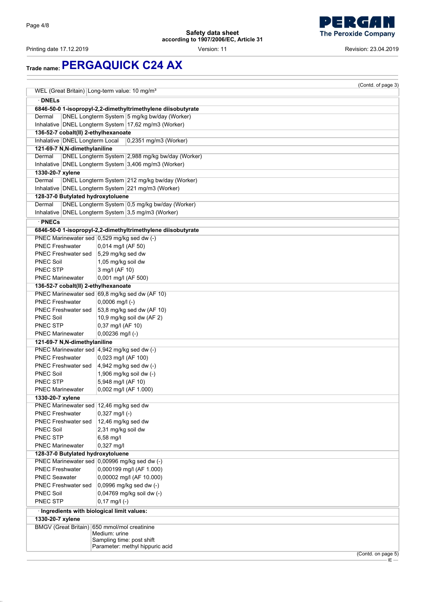

Printing date 17.12.2019 **Printing date 17.12.2019 Version: 11** Version: 11 **Revision: 23.04.2019** 

## **Trade name:PERGAQUICK C24 AX**

|                                             |                                                              | (Contd. of page 3) |
|---------------------------------------------|--------------------------------------------------------------|--------------------|
|                                             | WEL (Great Britain) Long-term value: 10 mg/m <sup>3</sup>    |                    |
| · DNELs                                     |                                                              |                    |
|                                             | 6846-50-0 1-isopropyl-2,2-dimethyltrimethylene diisobutyrate |                    |
| Dermal                                      | DNEL Longterm System 5 mg/kg bw/day (Worker)                 |                    |
|                                             | Inhalative DNEL Longterm System 17,62 mg/m3 (Worker)         |                    |
| 136-52-7 cobalt(II) 2-ethylhexanoate        |                                                              |                    |
| Inhalative   DNEL Longterm Local            | 0,2351 mg/m3 (Worker)                                        |                    |
| 121-69-7 N, N-dimethylaniline               |                                                              |                    |
| Dermal                                      | DNEL Longterm System 2,988 mg/kg bw/day (Worker)             |                    |
|                                             | Inhalative DNEL Longterm System 3,406 mg/m3 (Worker)         |                    |
| 1330-20-7 xylene                            |                                                              |                    |
| Dermal                                      | DNEL Longterm System 212 mg/kg bw/day (Worker)               |                    |
|                                             | Inhalative DNEL Longterm System 221 mg/m3 (Worker)           |                    |
| 128-37-0 Butylated hydroxytoluene           |                                                              |                    |
| Dermal                                      | DNEL Longterm System 0,5 mg/kg bw/day (Worker)               |                    |
|                                             | Inhalative DNEL Longterm System 3,5 mg/m3 (Worker)           |                    |
|                                             |                                                              |                    |
| · PNECs                                     |                                                              |                    |
|                                             | 6846-50-0 1-isopropyl-2,2-dimethyltrimethylene diisobutyrate |                    |
|                                             | PNEC Marinewater sed 0,529 mg/kg sed dw (-)                  |                    |
| <b>PNEC Freshwater</b>                      | 0,014 mg/l (AF 50)                                           |                    |
| PNEC Freshwater sed                         | 5,29 mg/kg sed dw                                            |                    |
| <b>PNEC Soil</b>                            | 1,05 mg/kg soil dw                                           |                    |
| PNEC STP                                    | 3 mg/l (AF 10)                                               |                    |
| <b>PNEC Marinewater</b>                     | 0,001 mg/l (AF 500)                                          |                    |
| 136-52-7 cobalt(II) 2-ethylhexanoate        |                                                              |                    |
|                                             | PNEC Marinewater sed 69,8 mg/kg sed dw (AF 10)               |                    |
| <b>PNEC Freshwater</b>                      | $0,0006$ mg/l (-)                                            |                    |
| <b>PNEC Freshwater sed</b>                  | 53,8 mg/kg sed dw (AF 10)                                    |                    |
| <b>PNEC Soil</b>                            | 10,9 mg/kg soil dw (AF 2)                                    |                    |
| <b>PNEC STP</b>                             | 0,37 mg/l (AF 10)                                            |                    |
| <b>PNEC Marinewater</b>                     | $0,00236$ mg/l (-)                                           |                    |
| 121-69-7 N, N-dimethylaniline               |                                                              |                    |
|                                             | PNEC Marinewater sed   4,942 mg/kg sed dw (-)                |                    |
| <b>PNEC Freshwater</b>                      | 0,023 mg/l (AF 100)                                          |                    |
| PNEC Freshwater sed                         | $4,942$ mg/kg sed dw $(-)$                                   |                    |
| <b>PNEC Soil</b>                            | 1,906 mg/kg soil dw (-)                                      |                    |
| PNEC STP                                    | 5,948 mg/l (AF 10)                                           |                    |
| <b>PNEC Marinewater</b>                     | 0,002 mg/l (AF 1.000)                                        |                    |
| 1330-20-7 xylene                            |                                                              |                    |
| PNEC Marinewater sed   12,46 mg/kg sed dw   |                                                              |                    |
| <b>PNEC Freshwater</b>                      | $0,327$ mg/l (-)                                             |                    |
| PNEC Freshwater sed                         | 12,46 mg/kg sed dw                                           |                    |
| <b>PNEC Soil</b>                            | 2,31 mg/kg soil dw                                           |                    |
| PNEC STP                                    | $6,58$ mg/l                                                  |                    |
| <b>PNEC Marinewater</b>                     | 0,327 mg/l                                                   |                    |
| 128-37-0 Butylated hydroxytoluene           |                                                              |                    |
|                                             | PNEC Marinewater sed 0,00996 mg/kg sed dw (-)                |                    |
| <b>PNEC Freshwater</b>                      | 0,000199 mg/l (AF 1.000)                                     |                    |
| <b>PNEC Seawater</b>                        | 0,00002 mg/l (AF 10.000)                                     |                    |
| <b>PNEC Freshwater sed</b>                  | 0,0996 mg/kg sed dw (-)                                      |                    |
| <b>PNEC Soil</b>                            | 0,04769 mg/kg soil dw (-)                                    |                    |
| <b>PNEC STP</b>                             | $0,17$ mg/l (-)                                              |                    |
| · Ingredients with biological limit values: |                                                              |                    |
| 1330-20-7 xylene                            |                                                              |                    |
|                                             | BMGV (Great Britain) 650 mmol/mol creatinine                 |                    |
|                                             | Medium: urine                                                |                    |
|                                             | Sampling time: post shift                                    |                    |
|                                             | Parameter: methyl hippuric acid                              |                    |
|                                             |                                                              | (Contd. on page 5) |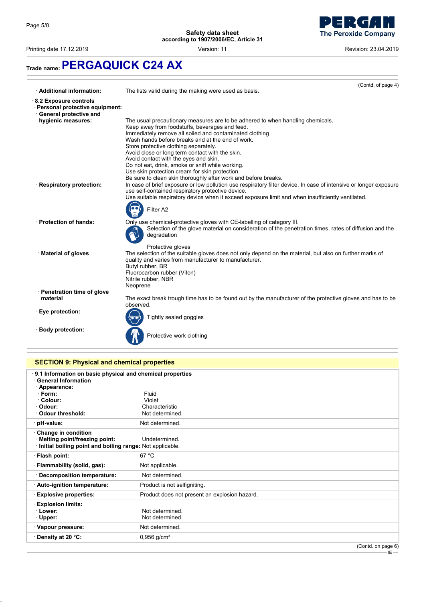

Printing date 17.12.2019 **Printing date 17.12.2019 Consumersion: 11** Version: 11 **Principal and Principal Act 2019 Revision: 23.04.2019** 

## **Trade name:PERGAQUICK C24 AX**

|                                                                                            | (Contd. of page 4)                                                                                                                                                                             |
|--------------------------------------------------------------------------------------------|------------------------------------------------------------------------------------------------------------------------------------------------------------------------------------------------|
| · Additional information:                                                                  | The lists valid during the making were used as basis.                                                                                                                                          |
| 8.2 Exposure controls<br>· Personal protective equipment:<br><b>General protective and</b> |                                                                                                                                                                                                |
| hygienic measures:                                                                         | The usual precautionary measures are to be adhered to when handling chemicals.                                                                                                                 |
|                                                                                            | Keep away from foodstuffs, beverages and feed.                                                                                                                                                 |
|                                                                                            | Immediately remove all soiled and contaminated clothing<br>Wash hands before breaks and at the end of work.                                                                                    |
|                                                                                            | Store protective clothing separately.                                                                                                                                                          |
|                                                                                            | Avoid close or long term contact with the skin.                                                                                                                                                |
|                                                                                            | Avoid contact with the eyes and skin.                                                                                                                                                          |
|                                                                                            | Do not eat, drink, smoke or sniff while working.<br>Use skin protection cream for skin protection.                                                                                             |
|                                                                                            | Be sure to clean skin thoroughly after work and before breaks.                                                                                                                                 |
| · Respiratory protection:                                                                  | In case of brief exposure or low pollution use respiratory filter device. In case of intensive or longer exposure                                                                              |
|                                                                                            | use self-contained respiratory protective device.                                                                                                                                              |
|                                                                                            | Use suitable respiratory device when it exceed exposure limit and when insufficiently ventilated.                                                                                              |
|                                                                                            | Filter A2                                                                                                                                                                                      |
| · Protection of hands:                                                                     | Only use chemical-protective gloves with CE-labelling of category III.<br>Selection of the glove material on consideration of the penetration times, rates of diffusion and the<br>degradation |
|                                                                                            | Protective gloves                                                                                                                                                                              |
| · Material of gloves                                                                       | The selection of the suitable gloves does not only depend on the material, but also on further marks of<br>quality and varies from manufacturer to manufacturer.<br>Butyl rubber, BR           |
|                                                                                            | Fluorocarbon rubber (Viton)                                                                                                                                                                    |
|                                                                                            | Nitrile rubber, NBR                                                                                                                                                                            |
|                                                                                            | Neoprene                                                                                                                                                                                       |
| · Penetration time of glove<br>material                                                    | The exact break trough time has to be found out by the manufacturer of the protective gloves and has to be                                                                                     |
|                                                                                            | observed.                                                                                                                                                                                      |
| · Eye protection:                                                                          |                                                                                                                                                                                                |
|                                                                                            | Tightly sealed goggles                                                                                                                                                                         |
| · Body protection:                                                                         | Protective work clothing                                                                                                                                                                       |

### **SECTION 9: Physical and chemical properties**

| $\cdot$ 9.1 Information on basic physical and chemical properties<br><b>General Information</b> |                                               |
|-------------------------------------------------------------------------------------------------|-----------------------------------------------|
| · Appearance:                                                                                   |                                               |
| $\cdot$ Form:                                                                                   | Fluid                                         |
| · Colour:                                                                                       | Violet                                        |
| · Odour:                                                                                        | Characteristic                                |
| Odour threshold:                                                                                | Not determined.                               |
| · pH-value:                                                                                     | Not determined.                               |
| Change in condition                                                                             |                                               |
| · Melting point/freezing point:                                                                 | Undetermined.                                 |
| Initial boiling point and boiling range: Not applicable.                                        |                                               |
| · Flash point:                                                                                  | 67 °C                                         |
| · Flammability (solid, gas):                                                                    | Not applicable.                               |
| · Decomposition temperature:                                                                    | Not determined.                               |
| · Auto-ignition temperature:                                                                    | Product is not selfigniting.                  |
| · Explosive properties:                                                                         | Product does not present an explosion hazard. |
| <b>Explosion limits:</b>                                                                        |                                               |
| · Lower:                                                                                        | Not determined.                               |
| $\cdot$ Upper:                                                                                  | Not determined.                               |
| · Vapour pressure:                                                                              | Not determined.                               |
| ⋅ Density at 20 °C:                                                                             | $0,956$ g/cm <sup>3</sup>                     |
|                                                                                                 | $(0 - 1)$ $-2 - 22$                           |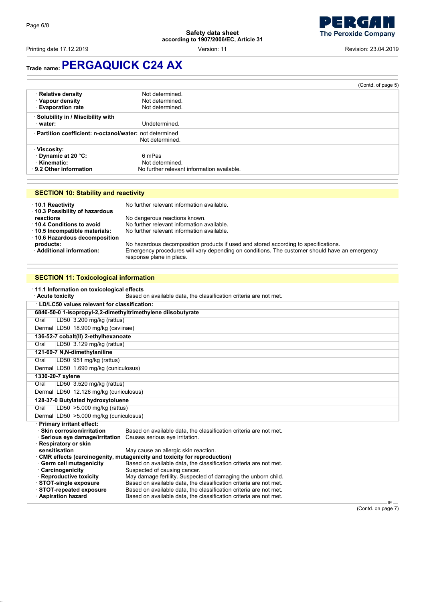Printing date 17.12.2019 **Printing date 17.12.2019 Consumersion: 11** Version: 11 **Printing date 17.12.2019 Revision: 23.04.2019** 

## **Trade name:PERGAQUICK C24 AX**

|                                                                              |                                                                         | (Contd. of page 5) |
|------------------------------------------------------------------------------|-------------------------------------------------------------------------|--------------------|
| · Relative density<br>· Vapour density<br><b>Evaporation rate</b>            | Not determined.<br>Not determined.<br>Not determined.                   |                    |
| · Solubility in / Miscibility with<br>· water:                               | Undetermined.                                                           |                    |
| · Partition coefficient: n-octanol/water: not determined                     | Not determined.                                                         |                    |
| · Viscosity:<br>Dynamic at 20 °C:<br>⋅ Kinematic:<br>⋅ 9.2 Other information | 6 mPas<br>Not determined.<br>No further relevant information available. |                    |

| <b>SECTION 10: Stability and reactivity</b> |  |
|---------------------------------------------|--|
|---------------------------------------------|--|

| 10.1 Reactivity<br>10.3 Possibility of hazardous | No further relevant information available.                                                                                |
|--------------------------------------------------|---------------------------------------------------------------------------------------------------------------------------|
| reactions                                        | No dangerous reactions known.                                                                                             |
| 10.4 Conditions to avoid                         | No further relevant information available.                                                                                |
| 10.5 Incompatible materials:                     | No further relevant information available.                                                                                |
| ⋅ 10.6 Hazardous decomposition                   |                                                                                                                           |
| products:                                        | No hazardous decomposition products if used and stored according to specifications.                                       |
| Additional information:                          | Emergency procedures will vary depending on conditions. The customer should have an emergency<br>response plane in place. |

### **SECTION 11: Toxicological information**

|                                                              |                               | 11.1 Information on toxicological effects |                                                                         |  |  |  |
|--------------------------------------------------------------|-------------------------------|-------------------------------------------|-------------------------------------------------------------------------|--|--|--|
| · Acute toxicity                                             |                               |                                           | Based on available data, the classification criteria are not met.       |  |  |  |
| LD/LC50 values relevant for classification:                  |                               |                                           |                                                                         |  |  |  |
| 6846-50-0 1-isopropyl-2,2-dimethyltrimethylene diisobutyrate |                               |                                           |                                                                         |  |  |  |
| Oral                                                         |                               | LD50 3.200 mg/kg (rattus)                 |                                                                         |  |  |  |
|                                                              |                               | Dermal LD50 18.900 mg/kg (caviinae)       |                                                                         |  |  |  |
| 136-52-7 cobalt(II) 2-ethylhexanoate                         |                               |                                           |                                                                         |  |  |  |
| Oral                                                         | LD50 $ 3.129$ mg/kg (rattus)  |                                           |                                                                         |  |  |  |
| 121-69-7 N, N-dimethylaniline                                |                               |                                           |                                                                         |  |  |  |
| Oral                                                         |                               | LD50 951 mg/kg (rattus)                   |                                                                         |  |  |  |
|                                                              |                               | Dermal LD50 1.690 mg/kg (cuniculosus)     |                                                                         |  |  |  |
| 1330-20-7 xylene                                             |                               |                                           |                                                                         |  |  |  |
| Oral                                                         |                               | LD50 3.520 mg/kg (rattus)                 |                                                                         |  |  |  |
|                                                              |                               | Dermal LD50 12.126 mg/kg (cuniculosus)    |                                                                         |  |  |  |
|                                                              |                               | 128-37-0 Butylated hydroxytoluene         |                                                                         |  |  |  |
| Oral                                                         | LD50 $ >5.000$ mg/kg (rattus) |                                           |                                                                         |  |  |  |
|                                                              |                               | Dermal LD50 > 5.000 mg/kg (cuniculosus)   |                                                                         |  |  |  |
| · Primary irritant effect:                                   |                               |                                           |                                                                         |  |  |  |
| · Skin corrosion/irritation                                  |                               |                                           | Based on available data, the classification criteria are not met.       |  |  |  |
|                                                              |                               | Serious eye damage/irritation             | Causes serious eye irritation.                                          |  |  |  |
| Respiratory or skin<br>sensitisation                         |                               |                                           | May cause an allergic skin reaction.                                    |  |  |  |
|                                                              |                               |                                           | CMR effects (carcinogenity, mutagenicity and toxicity for reproduction) |  |  |  |
| Germ cell mutagenicity                                       |                               |                                           | Based on available data, the classification criteria are not met.       |  |  |  |
| Carcinogenicity                                              |                               |                                           | Suspected of causing cancer.                                            |  |  |  |
| <b>Reproductive toxicity</b>                                 |                               |                                           | May damage fertility. Suspected of damaging the unborn child.           |  |  |  |
| STOT-single exposure                                         |                               |                                           | Based on available data, the classification criteria are not met.       |  |  |  |
| <b>STOT-repeated exposure</b>                                |                               |                                           | Based on available data, the classification criteria are not met.       |  |  |  |
| $\cdot$ Aspiration hazard                                    |                               |                                           | Based on available data, the classification criteria are not met.       |  |  |  |

(Contd. on page 7)

 $\overline{1}$ E $\overline{1}$ 

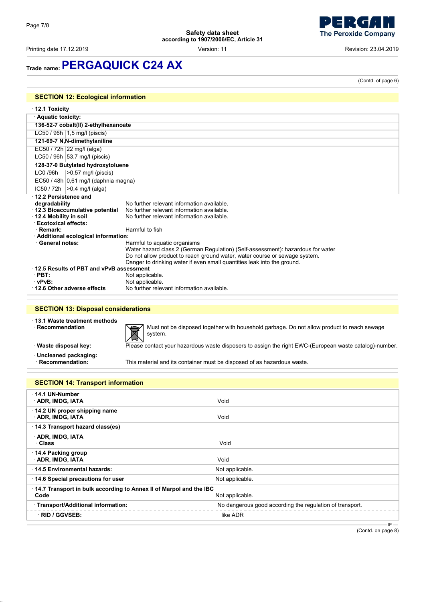Printing date 17.12.2019 Version: 11 Revision: 23.04.2019

**The Peroxide Company** 

- 2  $\epsilon$ 

(Contd. of page 6)

## **Trade name:PERGAQUICK C24 AX**

| $\cdot$ 12.1 Toxicity                    |                                                                                 |
|------------------------------------------|---------------------------------------------------------------------------------|
| · Aquatic toxicity:                      |                                                                                 |
| 136-52-7 cobalt(II) 2-ethylhexanoate     |                                                                                 |
| LC50 / 96h 1,5 mg/l (piscis)             |                                                                                 |
| 121-69-7 N, N-dimethylaniline            |                                                                                 |
| EC50 / 72h 22 mg/l (alga)                |                                                                                 |
| LC50 / 96h $ 53,7 \text{ mg/l}$ (piscis) |                                                                                 |
| 128-37-0 Butylated hydroxytoluene        |                                                                                 |
| LC0 /96h<br>$>0.57$ mg/l (piscis)        |                                                                                 |
| $EC50/48h$ 0,61 mg/l (daphnia magna)     |                                                                                 |
| $IC50 / 72h$ $>0.4$ mg/l (alga)          |                                                                                 |
| 12.2 Persistence and                     |                                                                                 |
| degradability                            | No further relevant information available                                       |
| 12.3 Bioaccumulative potential           | No further relevant information available.                                      |
| 12.4 Mobility in soil                    | No further relevant information available.                                      |
| <b>Ecotoxical effects:</b>               |                                                                                 |
| · Remark:                                | Harmful to fish                                                                 |
| · Additional ecological information:     |                                                                                 |
| · General notes:                         | Harmful to aquatic organisms                                                    |
|                                          | Water hazard class 2 (German Regulation) (Self-assessment): hazardous for water |
|                                          | Do not allow product to reach ground water, water course or sewage system.      |
|                                          | Danger to drinking water if even small quantities leak into the ground.         |
| 12.5 Results of PBT and vPvB assessment  |                                                                                 |
| $\cdot$ PBT:                             | Not applicable.                                                                 |
| · vPvB:                                  | Not applicable.                                                                 |
| 12.6 Other adverse effects               | No further relevant information available                                       |

### **SECTION 13: Disposal considerations**

· **13.1 Waste treatment methods**



Must not be disposed together with household garbage. Do not allow product to reach sewage system.

· **Waste disposal key:** Please contact your hazardous waste disposers to assign the right EWC-(European waste catalog)-number.



· **Uncleaned packaging:**

This material and its container must be disposed of as hazardous waste.

| <b>SECTION 14: Transport information</b>                                   |                                                          |
|----------------------------------------------------------------------------|----------------------------------------------------------|
| 14.1 UN-Number<br>· ADR, IMDG, IATA                                        | Void                                                     |
| $\cdot$ 14.2 UN proper shipping name<br>· ADR, IMDG, IATA                  | Void                                                     |
| 14.3 Transport hazard class(es)                                            |                                                          |
| · ADR, IMDG, IATA<br>· Class                                               | Void                                                     |
| $\cdot$ 14.4 Packing group<br>· ADR, IMDG, IATA                            | Void                                                     |
| ⋅14.5 Environmental hazards:                                               | Not applicable.                                          |
| 14.6 Special precautions for user                                          | Not applicable.                                          |
| 14.7 Transport in bulk according to Annex II of Marpol and the IBC<br>Code | Not applicable.                                          |
| · Transport/Additional information:                                        | No dangerous good according the regulation of transport. |
| · RID / GGVSEB:                                                            | like ADR                                                 |

(Contd. on page 8)

 $-E -$